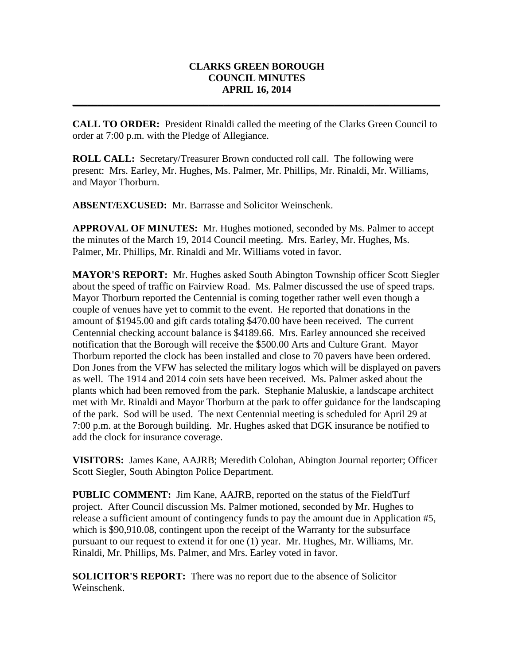## **CLARKS GREEN BOROUGH COUNCIL MINUTES APRIL 16, 2014**

**\_\_\_\_\_\_\_\_\_\_\_\_\_\_\_\_\_\_\_\_\_\_\_\_\_\_\_\_\_\_\_\_\_\_\_\_\_\_\_\_\_\_\_\_\_\_\_\_\_\_\_\_\_\_\_\_\_\_\_\_\_\_\_\_\_\_\_\_\_\_\_\_\_**

**CALL TO ORDER:** President Rinaldi called the meeting of the Clarks Green Council to order at 7:00 p.m. with the Pledge of Allegiance.

**ROLL CALL:** Secretary/Treasurer Brown conducted roll call. The following were present: Mrs. Earley, Mr. Hughes, Ms. Palmer, Mr. Phillips, Mr. Rinaldi, Mr. Williams, and Mayor Thorburn.

**ABSENT/EXCUSED:** Mr. Barrasse and Solicitor Weinschenk.

**APPROVAL OF MINUTES:** Mr. Hughes motioned, seconded by Ms. Palmer to accept the minutes of the March 19, 2014 Council meeting. Mrs. Earley, Mr. Hughes, Ms. Palmer, Mr. Phillips, Mr. Rinaldi and Mr. Williams voted in favor.

**MAYOR'S REPORT:** Mr. Hughes asked South Abington Township officer Scott Siegler about the speed of traffic on Fairview Road. Ms. Palmer discussed the use of speed traps. Mayor Thorburn reported the Centennial is coming together rather well even though a couple of venues have yet to commit to the event. He reported that donations in the amount of \$1945.00 and gift cards totaling \$470.00 have been received. The current Centennial checking account balance is \$4189.66. Mrs. Earley announced she received notification that the Borough will receive the \$500.00 Arts and Culture Grant. Mayor Thorburn reported the clock has been installed and close to 70 pavers have been ordered. Don Jones from the VFW has selected the military logos which will be displayed on pavers as well. The 1914 and 2014 coin sets have been received. Ms. Palmer asked about the plants which had been removed from the park. Stephanie Maluskie, a landscape architect met with Mr. Rinaldi and Mayor Thorburn at the park to offer guidance for the landscaping of the park. Sod will be used. The next Centennial meeting is scheduled for April 29 at 7:00 p.m. at the Borough building. Mr. Hughes asked that DGK insurance be notified to add the clock for insurance coverage.

**VISITORS:** James Kane, AAJRB; Meredith Colohan, Abington Journal reporter; Officer Scott Siegler, South Abington Police Department.

**PUBLIC COMMENT:** Jim Kane, AAJRB, reported on the status of the FieldTurf project. After Council discussion Ms. Palmer motioned, seconded by Mr. Hughes to release a sufficient amount of contingency funds to pay the amount due in Application #5, which is \$90,910.08, contingent upon the receipt of the Warranty for the subsurface pursuant to our request to extend it for one (1) year. Mr. Hughes, Mr. Williams, Mr. Rinaldi, Mr. Phillips, Ms. Palmer, and Mrs. Earley voted in favor.

**SOLICITOR'S REPORT:** There was no report due to the absence of Solicitor Weinschenk.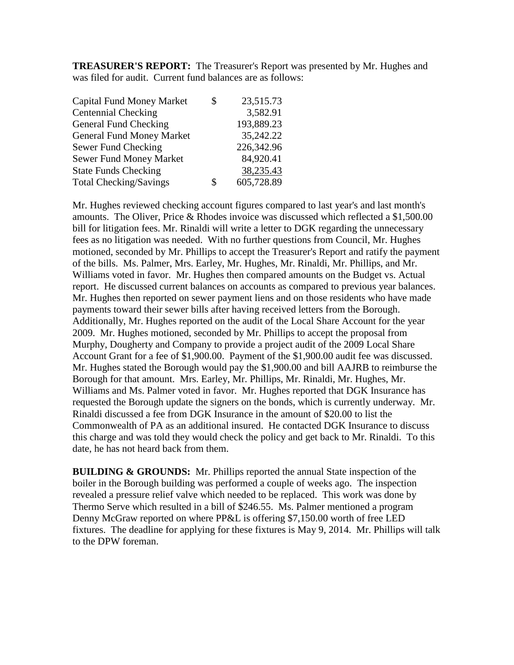**TREASURER'S REPORT:** The Treasurer's Report was presented by Mr. Hughes and was filed for audit. Current fund balances are as follows:

| <b>Capital Fund Money Market</b> | S | 23,515.73  |
|----------------------------------|---|------------|
| <b>Centennial Checking</b>       |   | 3,582.91   |
| General Fund Checking            |   | 193,889.23 |
| <b>General Fund Money Market</b> |   | 35,242.22  |
| Sewer Fund Checking              |   | 226,342.96 |
| <b>Sewer Fund Money Market</b>   |   | 84,920.41  |
| <b>State Funds Checking</b>      |   | 38,235.43  |
| <b>Total Checking/Savings</b>    | S | 605,728.89 |

Mr. Hughes reviewed checking account figures compared to last year's and last month's amounts. The Oliver, Price & Rhodes invoice was discussed which reflected a \$1,500.00 bill for litigation fees. Mr. Rinaldi will write a letter to DGK regarding the unnecessary fees as no litigation was needed. With no further questions from Council, Mr. Hughes motioned, seconded by Mr. Phillips to accept the Treasurer's Report and ratify the payment of the bills. Ms. Palmer, Mrs. Earley, Mr. Hughes, Mr. Rinaldi, Mr. Phillips, and Mr. Williams voted in favor. Mr. Hughes then compared amounts on the Budget vs. Actual report. He discussed current balances on accounts as compared to previous year balances. Mr. Hughes then reported on sewer payment liens and on those residents who have made payments toward their sewer bills after having received letters from the Borough. Additionally, Mr. Hughes reported on the audit of the Local Share Account for the year 2009. Mr. Hughes motioned, seconded by Mr. Phillips to accept the proposal from Murphy, Dougherty and Company to provide a project audit of the 2009 Local Share Account Grant for a fee of \$1,900.00. Payment of the \$1,900.00 audit fee was discussed. Mr. Hughes stated the Borough would pay the \$1,900.00 and bill AAJRB to reimburse the Borough for that amount. Mrs. Earley, Mr. Phillips, Mr. Rinaldi, Mr. Hughes, Mr. Williams and Ms. Palmer voted in favor. Mr. Hughes reported that DGK Insurance has requested the Borough update the signers on the bonds, which is currently underway. Mr. Rinaldi discussed a fee from DGK Insurance in the amount of \$20.00 to list the Commonwealth of PA as an additional insured. He contacted DGK Insurance to discuss this charge and was told they would check the policy and get back to Mr. Rinaldi. To this date, he has not heard back from them.

**BUILDING & GROUNDS:** Mr. Phillips reported the annual State inspection of the boiler in the Borough building was performed a couple of weeks ago. The inspection revealed a pressure relief valve which needed to be replaced. This work was done by Thermo Serve which resulted in a bill of \$246.55. Ms. Palmer mentioned a program Denny McGraw reported on where PP&L is offering \$7,150.00 worth of free LED fixtures. The deadline for applying for these fixtures is May 9, 2014. Mr. Phillips will talk to the DPW foreman.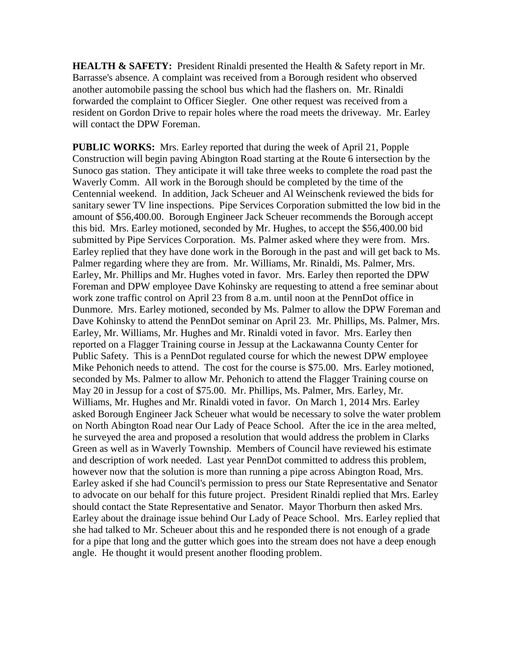**HEALTH & SAFETY:** President Rinaldi presented the Health & Safety report in Mr. Barrasse's absence. A complaint was received from a Borough resident who observed another automobile passing the school bus which had the flashers on. Mr. Rinaldi forwarded the complaint to Officer Siegler. One other request was received from a resident on Gordon Drive to repair holes where the road meets the driveway. Mr. Earley will contact the DPW Foreman.

**PUBLIC WORKS:** Mrs. Earley reported that during the week of April 21, Popple Construction will begin paving Abington Road starting at the Route 6 intersection by the Sunoco gas station. They anticipate it will take three weeks to complete the road past the Waverly Comm. All work in the Borough should be completed by the time of the Centennial weekend. In addition, Jack Scheuer and Al Weinschenk reviewed the bids for sanitary sewer TV line inspections. Pipe Services Corporation submitted the low bid in the amount of \$56,400.00. Borough Engineer Jack Scheuer recommends the Borough accept this bid. Mrs. Earley motioned, seconded by Mr. Hughes, to accept the \$56,400.00 bid submitted by Pipe Services Corporation. Ms. Palmer asked where they were from. Mrs. Earley replied that they have done work in the Borough in the past and will get back to Ms. Palmer regarding where they are from. Mr. Williams, Mr. Rinaldi, Ms. Palmer, Mrs. Earley, Mr. Phillips and Mr. Hughes voted in favor. Mrs. Earley then reported the DPW Foreman and DPW employee Dave Kohinsky are requesting to attend a free seminar about work zone traffic control on April 23 from 8 a.m. until noon at the PennDot office in Dunmore. Mrs. Earley motioned, seconded by Ms. Palmer to allow the DPW Foreman and Dave Kohinsky to attend the PennDot seminar on April 23. Mr. Phillips, Ms. Palmer, Mrs. Earley, Mr. Williams, Mr. Hughes and Mr. Rinaldi voted in favor. Mrs. Earley then reported on a Flagger Training course in Jessup at the Lackawanna County Center for Public Safety. This is a PennDot regulated course for which the newest DPW employee Mike Pehonich needs to attend. The cost for the course is \$75.00. Mrs. Earley motioned, seconded by Ms. Palmer to allow Mr. Pehonich to attend the Flagger Training course on May 20 in Jessup for a cost of \$75.00. Mr. Phillips, Ms. Palmer, Mrs. Earley, Mr. Williams, Mr. Hughes and Mr. Rinaldi voted in favor. On March 1, 2014 Mrs. Earley asked Borough Engineer Jack Scheuer what would be necessary to solve the water problem on North Abington Road near Our Lady of Peace School. After the ice in the area melted, he surveyed the area and proposed a resolution that would address the problem in Clarks Green as well as in Waverly Township. Members of Council have reviewed his estimate and description of work needed. Last year PennDot committed to address this problem, however now that the solution is more than running a pipe across Abington Road, Mrs. Earley asked if she had Council's permission to press our State Representative and Senator to advocate on our behalf for this future project. President Rinaldi replied that Mrs. Earley should contact the State Representative and Senator. Mayor Thorburn then asked Mrs. Earley about the drainage issue behind Our Lady of Peace School. Mrs. Earley replied that she had talked to Mr. Scheuer about this and he responded there is not enough of a grade for a pipe that long and the gutter which goes into the stream does not have a deep enough angle. He thought it would present another flooding problem.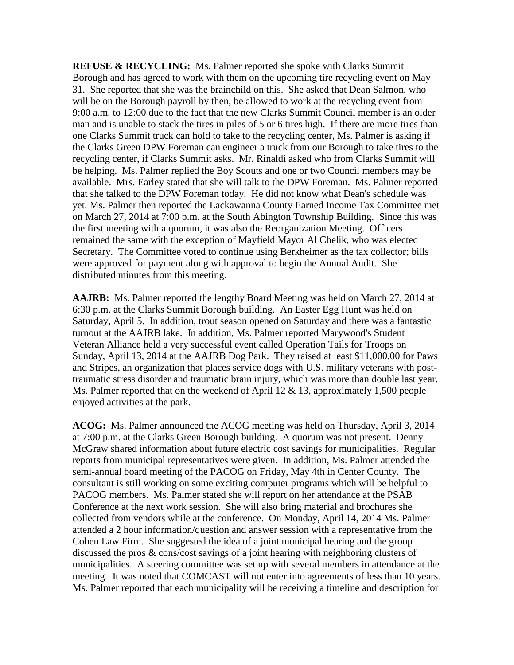**REFUSE & RECYCLING:** Ms. Palmer reported she spoke with Clarks Summit Borough and has agreed to work with them on the upcoming tire recycling event on May 31. She reported that she was the brainchild on this. She asked that Dean Salmon, who will be on the Borough payroll by then, be allowed to work at the recycling event from 9:00 a.m. to 12:00 due to the fact that the new Clarks Summit Council member is an older man and is unable to stack the tires in piles of 5 or 6 tires high. If there are more tires than one Clarks Summit truck can hold to take to the recycling center, Ms. Palmer is asking if the Clarks Green DPW Foreman can engineer a truck from our Borough to take tires to the recycling center, if Clarks Summit asks. Mr. Rinaldi asked who from Clarks Summit will be helping. Ms. Palmer replied the Boy Scouts and one or two Council members may be available. Mrs. Earley stated that she will talk to the DPW Foreman. Ms. Palmer reported that she talked to the DPW Foreman today. He did not know what Dean's schedule was yet. Ms. Palmer then reported the Lackawanna County Earned Income Tax Committee met on March 27, 2014 at 7:00 p.m. at the South Abington Township Building. Since this was the first meeting with a quorum, it was also the Reorganization Meeting. Officers remained the same with the exception of Mayfield Mayor Al Chelik, who was elected Secretary. The Committee voted to continue using Berkheimer as the tax collector; bills were approved for payment along with approval to begin the Annual Audit. She distributed minutes from this meeting.

**AAJRB:** Ms. Palmer reported the lengthy Board Meeting was held on March 27, 2014 at 6:30 p.m. at the Clarks Summit Borough building. An Easter Egg Hunt was held on Saturday, April 5. In addition, trout season opened on Saturday and there was a fantastic turnout at the AAJRB lake. In addition, Ms. Palmer reported Marywood's Student Veteran Alliance held a very successful event called Operation Tails for Troops on Sunday, April 13, 2014 at the AAJRB Dog Park. They raised at least \$11,000.00 for Paws and Stripes, an organization that places service dogs with U.S. military veterans with posttraumatic stress disorder and traumatic brain injury, which was more than double last year. Ms. Palmer reported that on the weekend of April 12 & 13, approximately 1,500 people enjoyed activities at the park.

**ACOG:** Ms. Palmer announced the ACOG meeting was held on Thursday, April 3, 2014 at 7:00 p.m. at the Clarks Green Borough building. A quorum was not present. Denny McGraw shared information about future electric cost savings for municipalities. Regular reports from municipal representatives were given. In addition, Ms. Palmer attended the semi-annual board meeting of the PACOG on Friday, May 4th in Center County. The consultant is still working on some exciting computer programs which will be helpful to PACOG members. Ms. Palmer stated she will report on her attendance at the PSAB Conference at the next work session. She will also bring material and brochures she collected from vendors while at the conference. On Monday, April 14, 2014 Ms. Palmer attended a 2 hour information/question and answer session with a representative from the Cohen Law Firm. She suggested the idea of a joint municipal hearing and the group discussed the pros & cons/cost savings of a joint hearing with neighboring clusters of municipalities. A steering committee was set up with several members in attendance at the meeting. It was noted that COMCAST will not enter into agreements of less than 10 years. Ms. Palmer reported that each municipality will be receiving a timeline and description for